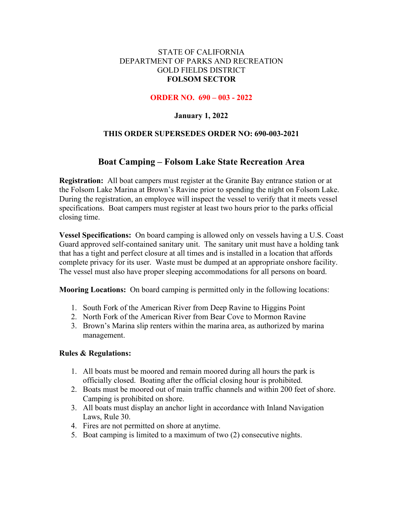## STATE OF CALIFORNIA DEPARTMENT OF PARKS AND RECREATION GOLD FIELDS DISTRICT **FOLSOM SECTOR**

### **ORDER NO. 690 – 003 - 2022**

## **January 1, 2022**

## **THIS ORDER SUPERSEDES ORDER NO: 690-003-2021**

# **Boat Camping – Folsom Lake State Recreation Area**

**Registration:** All boat campers must register at the Granite Bay entrance station or at the Folsom Lake Marina at Brown's Ravine prior to spending the night on Folsom Lake. During the registration, an employee will inspect the vessel to verify that it meets vessel specifications. Boat campers must register at least two hours prior to the parks official closing time.

**Vessel Specifications:** On board camping is allowed only on vessels having a U.S. Coast Guard approved self-contained sanitary unit. The sanitary unit must have a holding tank that has a tight and perfect closure at all times and is installed in a location that affords complete privacy for its user. Waste must be dumped at an appropriate onshore facility. The vessel must also have proper sleeping accommodations for all persons on board.

**Mooring Locations:** On board camping is permitted only in the following locations:

- 1. South Fork of the American River from Deep Ravine to Higgins Point
- 2. North Fork of the American River from Bear Cove to Mormon Ravine
- 3. Brown's Marina slip renters within the marina area, as authorized by marina management.

#### **Rules & Regulations:**

- 1. All boats must be moored and remain moored during all hours the park is officially closed. Boating after the official closing hour is prohibited.
- 2. Boats must be moored out of main traffic channels and within 200 feet of shore. Camping is prohibited on shore.
- 3. All boats must display an anchor light in accordance with Inland Navigation Laws, Rule 30.
- 4. Fires are not permitted on shore at anytime.
- 5. Boat camping is limited to a maximum of two (2) consecutive nights.